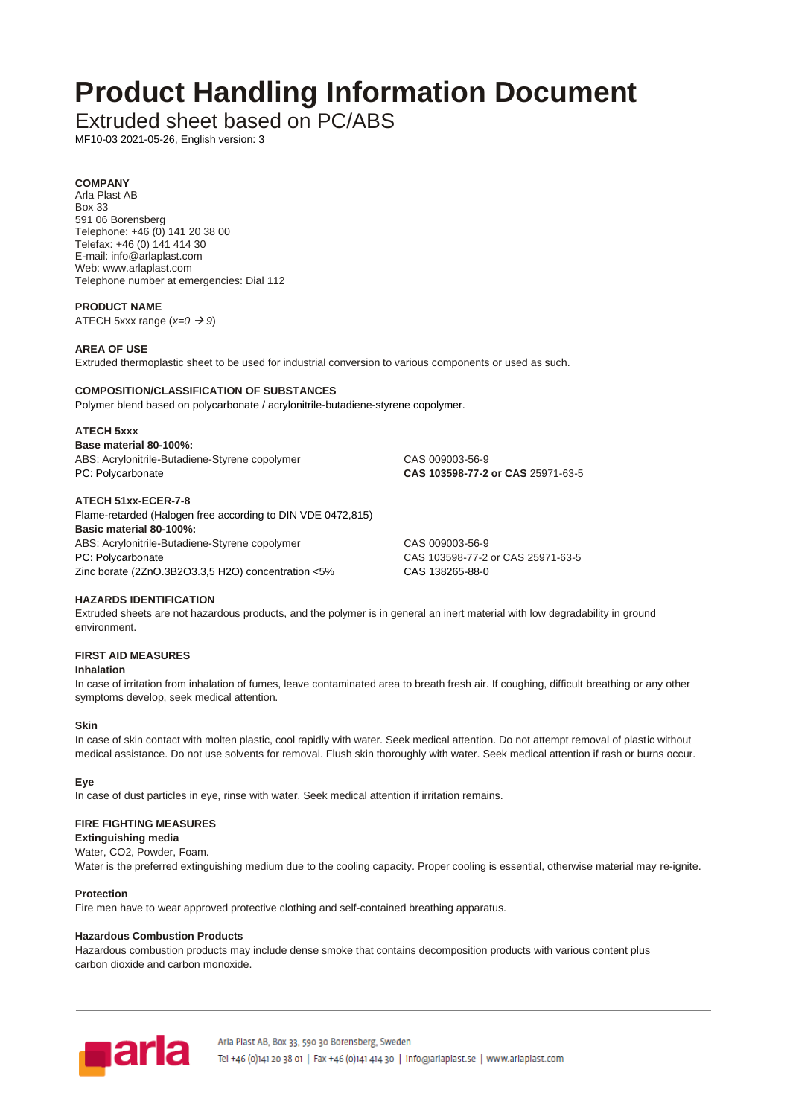# **Product Handling Information Document**

Extruded sheet based on PC/ABS

MF10-03 2021-05-26, English version: 3

# **COMPANY**

Arla Plast AB Box 33 591 06 Borensberg Telephone: +46 (0) 141 20 38 00 Telefax: +46 (0) 141 414 30 E-mail: info@arlaplast.com Web: www.arlaplast.com Telephone number at emergencies: Dial 112

## **PRODUCT NAME**

ATECH 5xxx range (*x=0* → *9*)

## **AREA OF USE**

Extruded thermoplastic sheet to be used for industrial conversion to various components or used as such.

## **COMPOSITION/CLASSIFICATION OF SUBSTANCES**

Polymer blend based on polycarbonate / acrylonitrile-butadiene-styrene copolymer.

#### **ATECH 5xxx**

**Base material 80-100%:** ABS: Acrylonitrile-Butadiene-Styrene copolymer CAS 009003-56-9 PC: Polycarbonate **CAS 103598-77-2 or CAS** 25971-63-5

## **ATECH 51xx-ECER-7-8**

Flame-retarded (Halogen free according to DIN VDE 0472,815) **Basic material 80-100%:** ABS: Acrylonitrile-Butadiene-Styrene copolymer CAS 009003-56-9 PC: Polycarbonate CAS 103598-77-2 or CAS 25971-63-5 Zinc borate (2ZnO.3B2O3.3,5 H2O) concentration <5% CAS 138265-88-0

## **HAZARDS IDENTIFICATION**

Extruded sheets are not hazardous products, and the polymer is in general an inert material with low degradability in ground environment.

## **FIRST AID MEASURES**

#### **Inhalation**

In case of irritation from inhalation of fumes, leave contaminated area to breath fresh air. If coughing, difficult breathing or any other symptoms develop, seek medical attention.

## **Skin**

In case of skin contact with molten plastic, cool rapidly with water. Seek medical attention. Do not attempt removal of plastic without medical assistance. Do not use solvents for removal. Flush skin thoroughly with water. Seek medical attention if rash or burns occur.

## **Eye**

In case of dust particles in eye, rinse with water. Seek medical attention if irritation remains.

## **FIRE FIGHTING MEASURES**

# **Extinguishing media**

Water, CO2, Powder, Foam.

Water is the preferred extinguishing medium due to the cooling capacity. Proper cooling is essential, otherwise material may re-ignite.

## **Protection**

Fire men have to wear approved protective clothing and self-contained breathing apparatus.

## **Hazardous Combustion Products**

Hazardous combustion products may include dense smoke that contains decomposition products with various content plus carbon dioxide and carbon monoxide.